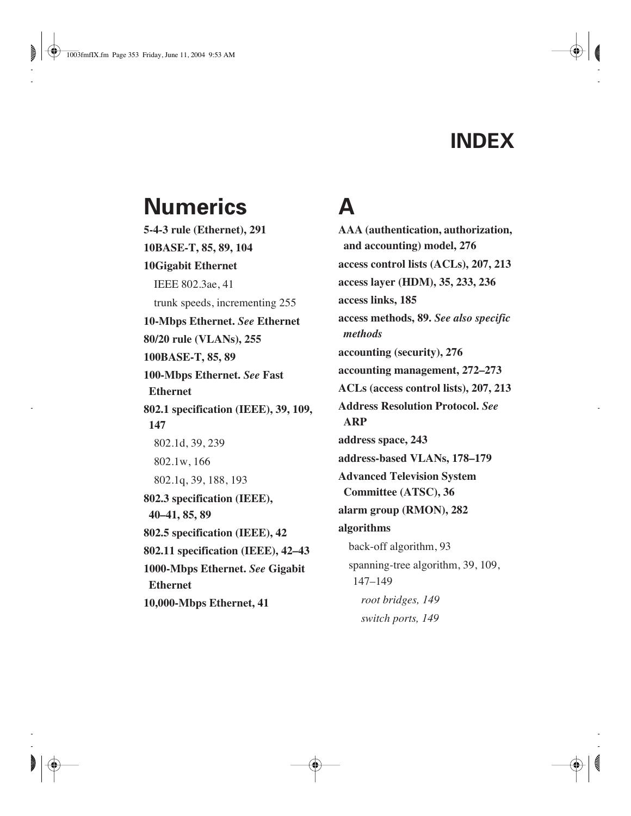#### **INDEX**

#### **Numerics**

**5-4-3 rule (Ethernet), 291 10BASE-T, 85, 89, 104 10Gigabit Ethernet** IEEE 802.3ae, 41 trunk speeds, incrementing 255 **10-Mbps Ethernet.** *See* **Ethernet 80/20 rule (VLANs), 255 100BASE-T, 85, 89 100-Mbps Ethernet.** *See* **Fast Ethernet 802.1 specification (IEEE), 39, 109, 147** 802.1d, 39, 239 802.1w, 166 802.1q, 39, 188, 193 **802.3 specification (IEEE), 40–41, 85, 89 802.5 specification (IEEE), 42 802.11 specification (IEEE), 42–43 1000-Mbps Ethernet.** *See* **Gigabit Ethernet 10,000-Mbps Ethernet, 41**

## **A**

**AAA (authentication, authorization, and accounting) model, 276 access control lists (ACLs), 207, 213 access layer (HDM), 35, 233, 236 access links, 185 access methods, 89.** *See also specific methods* **accounting (security), 276 accounting management, 272–273 ACLs (access control lists), 207, 213 Address Resolution Protocol.** *See* **ARP address space, 243 address-based VLANs, 178–179 Advanced Television System Committee (ATSC), 36 alarm group (RMON), 282 algorithms** back-off algorithm, 93 spanning-tree algorithm, 39, 109, 147–149 *root bridges, 149 switch ports, 149*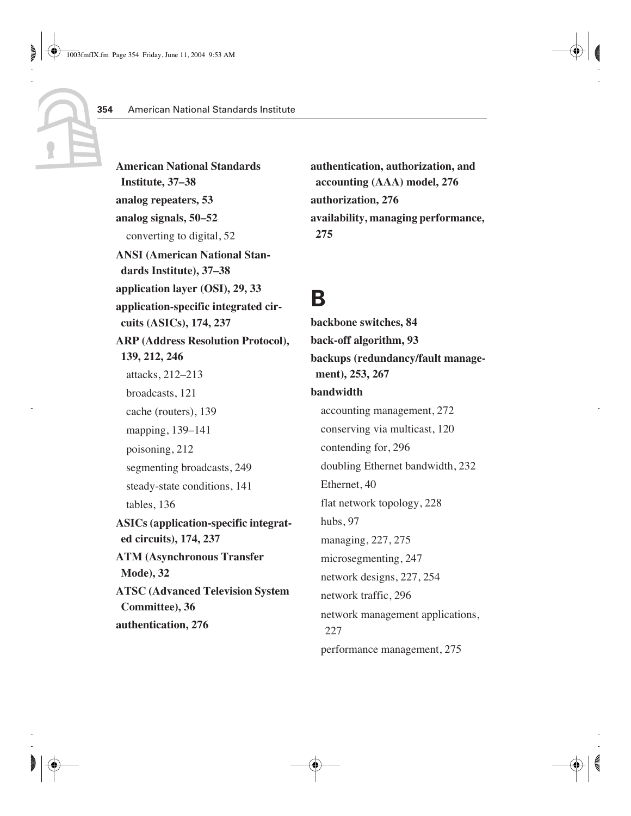**American National Standards Institute, 37–38 analog repeaters, 53 analog signals, 50–52** converting to digital, 52 **ANSI (American National Standards Institute), 37–38 application layer (OSI), 29, 33 application-specific integrated circuits (ASICs), 174, 237 ARP (Address Resolution Protocol), 139, 212, 246** attacks, 212–213 broadcasts, 121 cache (routers), 139 mapping, 139–141 poisoning, 212 segmenting broadcasts, 249 steady-state conditions, 141 tables, 136 **ASICs (application-specific integrated circuits), 174, 237 ATM (Asynchronous Transfer Mode), 32 ATSC (Advanced Television System Committee), 36 authentication, 276**

**authentication, authorization, and accounting (AAA) model, 276 authorization, 276 availability, managing performance, 275**

#### **B**

**backbone switches, 84 back-off algorithm, 93 backups (redundancy/fault management), 253, 267 bandwidth** accounting management, 272 conserving via multicast, 120 contending for, 296 doubling Ethernet bandwidth, 232 Ethernet, 40 flat network topology, 228 hubs, 97 managing, 227, 275 microsegmenting, 247 network designs, 227, 254 network traffic, 296 network management applications, 227 performance management, 275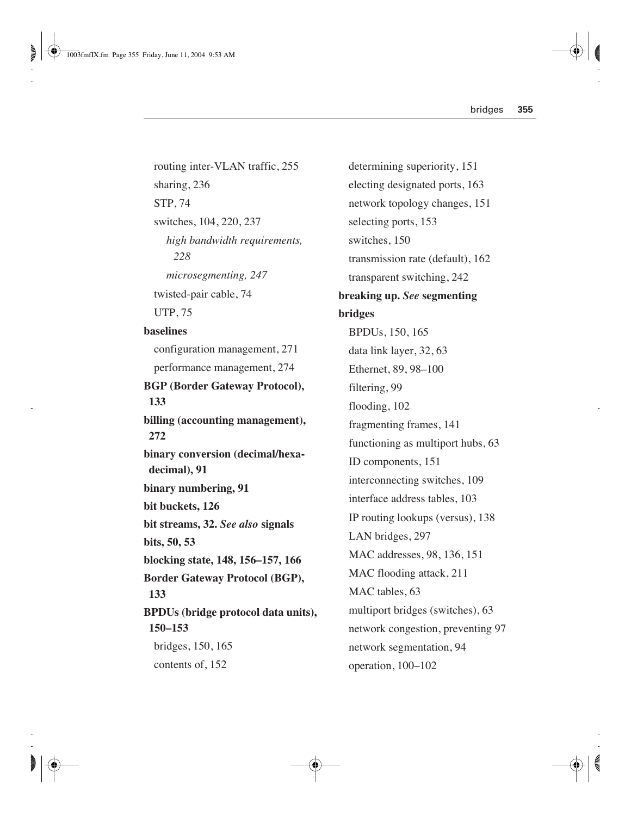routing inter-VLAN traffic, 255 sharing, 236 STP, 74 switches, 104, 220, 237 *high bandwidth requirements, 228 microsegmenting, 247* twisted-pair cable, 74 UTP, 75 **baselines** configuration management, 271 performance management, 274 **BGP (Border Gateway Protocol), 133 billing (accounting management), 272 binary conversion (decimal/hexadecimal), 91 binary numbering, 91 bit buckets, 126 bit streams, 32.** *See also* **signals bits, 50, 53 blocking state, 148, 156–157, 166 Border Gateway Protocol (BGP), 133 BPDUs (bridge protocol data units), 150–153** bridges, 150, 165 contents of, 152

determining superiority, 151 electing designated ports, 163 network topology changes, 151 selecting ports, 153 switches, 150 transmission rate (default), 162 transparent switching, 242 **breaking up.** *See* **segmenting bridges** BPDUs, 150, 165 data link layer, 32, 63 Ethernet, 89, 98–100 filtering, 99 flooding, 102 fragmenting frames, 141 functioning as multiport hubs, 63 ID components, 151 interconnecting switches, 109 interface address tables, 103 IP routing lookups (versus), 138 LAN bridges, 297 MAC addresses, 98, 136, 151 MAC flooding attack, 211 MAC tables, 63 multiport bridges (switches), 63 network congestion, preventing 97 network segmentation, 94 operation, 100–102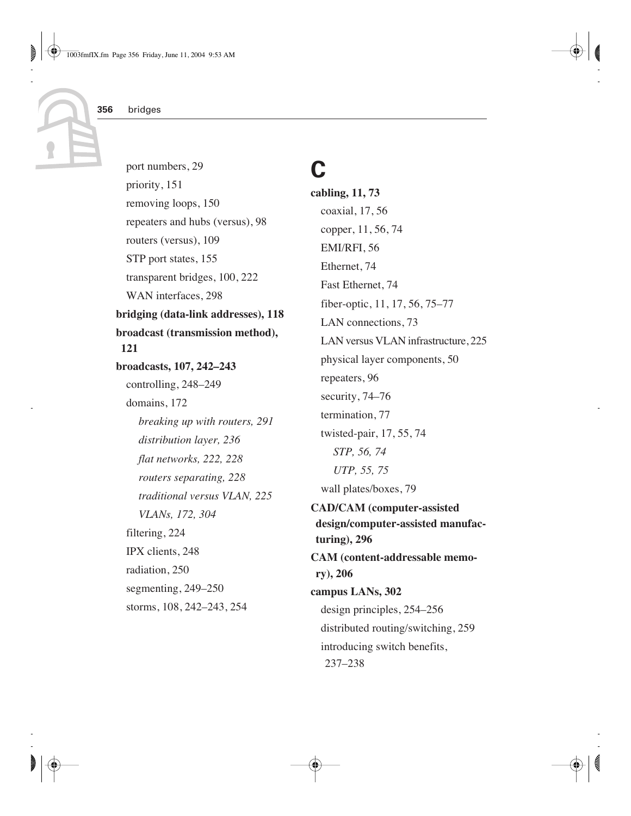port numbers, 29 priority, 151 removing loops, 150 repeaters and hubs (versus), 98 routers (versus), 109 STP port states, 155 transparent bridges, 100, 222 WAN interfaces, 298 **bridging (data-link addresses), 118 broadcast (transmission method), 121 broadcasts, 107, 242–243** controlling, 248–249 domains, 172 *breaking up with routers, 291 distribution layer, 236 flat networks, 222, 228 routers separating, 228 traditional versus VLAN, 225 VLANs, 172, 304* filtering, 224 IPX clients, 248 radiation, 250 segmenting, 249–250 storms, 108, 242–243, 254

## **C**

**cabling, 11, 73** coaxial, 17, 56 copper, 11, 56, 74 EMI/RFI, 56 Ethernet, 74 Fast Ethernet, 74 fiber-optic, 11, 17, 56, 75–77 LAN connections, 73 LAN versus VLAN infrastructure, 225 physical layer components, 50 repeaters, 96 security, 74–76 termination, 77 twisted-pair, 17, 55, 74 *STP, 56, 74 UTP, 55, 75* wall plates/boxes, 79 **CAD/CAM (computer-assisted design/computer-assisted manufacturing), 296 CAM (content-addressable memory), 206 campus LANs, 302** design principles, 254–256 distributed routing/switching, 259 introducing switch benefits, 237–238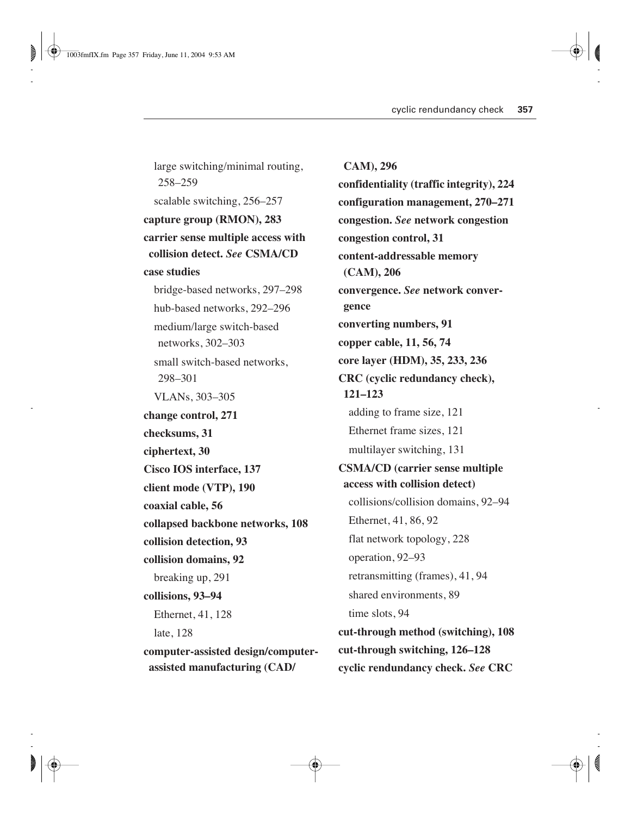large switching/minimal routing, 258–259 scalable switching, 256–257 **capture group (RMON), 283 carrier sense multiple access with collision detect.** *See* **CSMA/CD case studies** bridge-based networks, 297–298 hub-based networks, 292–296 medium/large switch-based networks, 302–303 small switch-based networks, 298–301 VLANs, 303–305 **change control, 271 checksums, 31 ciphertext, 30 Cisco IOS interface, 137 client mode (VTP), 190 coaxial cable, 56 collapsed backbone networks, 108 collision detection, 93 collision domains, 92** breaking up, 291 **collisions, 93–94** Ethernet, 41, 128 late, 128 **computer-assisted design/computerassisted manufacturing (CAD/**

**CAM), 296 confidentiality (traffic integrity), 224 configuration management, 270–271 congestion.** *See* **network congestion congestion control, 31 content-addressable memory (CAM), 206 convergence.** *See* **network convergence converting numbers, 91 copper cable, 11, 56, 74 core layer (HDM), 35, 233, 236 CRC (cyclic redundancy check), 121–123** adding to frame size, 121 Ethernet frame sizes, 121 multilayer switching, 131 **CSMA/CD (carrier sense multiple access with collision detect)** collisions/collision domains, 92–94 Ethernet, 41, 86, 92 flat network topology, 228 operation, 92–93 retransmitting (frames), 41, 94 shared environments, 89 time slots, 94 **cut-through method (switching), 108 cut-through switching, 126–128 cyclic rendundancy check.** *See* **CRC**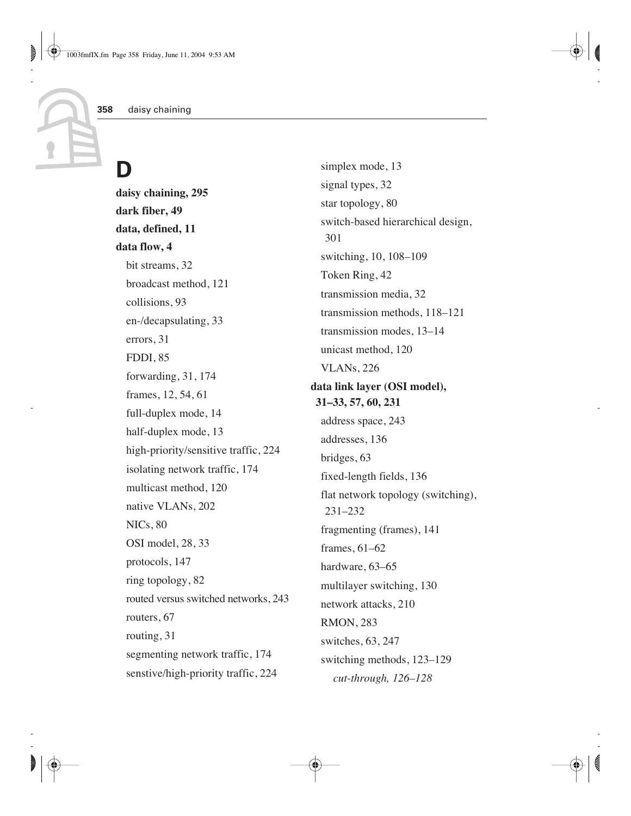# **D**

**daisy chaining, 295 dark fiber, 49 data, defined, 11 data flow, 4** bit streams, 32 broadcast method, 121 collisions, 93 en-/decapsulating, 33 errors, 31 FDDI, 85 forwarding, 31, 174 frames, 12, 54, 61 full-duplex mode, 14 half-duplex mode, 13 high-priority/sensitive traffic, 224 isolating network traffic, 174 multicast method, 120 native VLANs, 202 NICs, 80 OSI model, 28, 33 protocols, 147 ring topology, 82 routed versus switched networks, 243 routers, 67 routing, 31 segmenting network traffic, 174 senstive/high-priority traffic, 224

simplex mode, 13 signal types, 32 star topology, 80 switch-based hierarchical design, 301 switching, 10, 108–109 Token Ring, 42 transmission media, 32 transmission methods, 118–121 transmission modes, 13–14 unicast method, 120 VLANs, 226 **data link layer (OSI model), 31–33, 57, 60, 231** address space, 243 addresses, 136 bridges, 63 fixed-length fields, 136 flat network topology (switching), 231–232 fragmenting (frames), 141 frames, 61–62 hardware, 63–65 multilayer switching, 130 network attacks, 210 RMON, 283 switches, 63, 247 switching methods, 123–129 *cut-through, 126–128*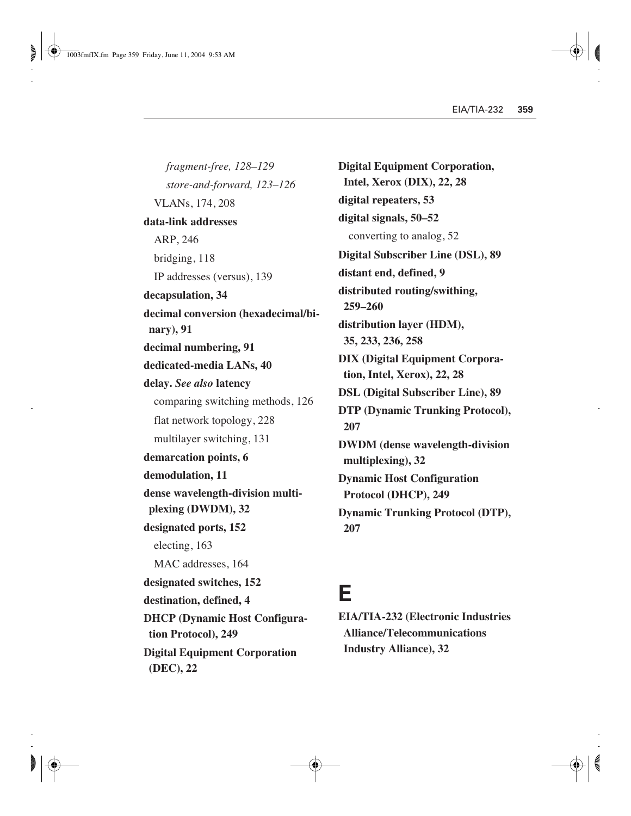*fragment-free, 128–129 store-and-forward, 123–126* VLANs, 174, 208 **data-link addresses** ARP, 246 bridging, 118 IP addresses (versus), 139 **decapsulation, 34 decimal conversion (hexadecimal/binary), 91 decimal numbering, 91 dedicated-media LANs, 40 delay.** *See also* **latency** comparing switching methods, 126 flat network topology, 228 multilayer switching, 131 **demarcation points, 6 demodulation, 11 dense wavelength-division multiplexing (DWDM), 32 designated ports, 152**  electing, 163 MAC addresses, 164 **designated switches, 152 destination, defined, 4 DHCP (Dynamic Host Configuration Protocol), 249 Digital Equipment Corporation (DEC), 22**

**Digital Equipment Corporation, Intel, Xerox (DIX), 22, 28 digital repeaters, 53 digital signals, 50–52** converting to analog, 52 **Digital Subscriber Line (DSL), 89 distant end, defined, 9 distributed routing/swithing, 259–260 distribution layer (HDM), 35, 233, 236, 258 DIX (Digital Equipment Corporation, Intel, Xerox), 22, 28 DSL (Digital Subscriber Line), 89 DTP (Dynamic Trunking Protocol), 207 DWDM (dense wavelength-division multiplexing), 32 Dynamic Host Configuration Protocol (DHCP), 249 Dynamic Trunking Protocol (DTP), 207**

#### **E**

**EIA/TIA-232 (Electronic Industries Alliance/Telecommunications Industry Alliance), 32**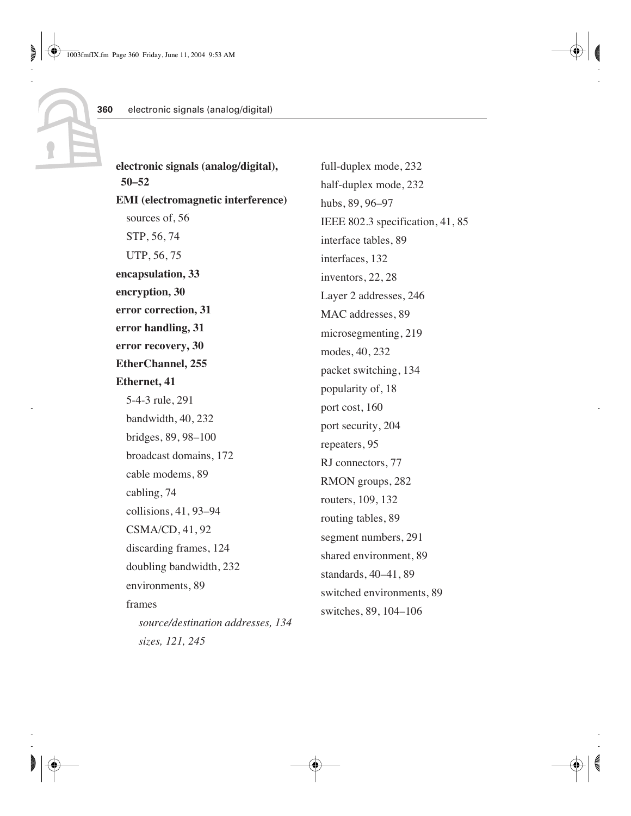| electronic signals (analog/digital),      | full-duplex mode, 232            |
|-------------------------------------------|----------------------------------|
| $50 - 52$                                 | half-duplex mode, 232            |
| <b>EMI</b> (electromagnetic interference) | hubs, 89, 96-97                  |
| sources of, 56                            | IEEE 802.3 specification, 41, 85 |
| STP, 56, 74                               | interface tables, 89             |
| UTP, 56, 75                               | interfaces, 132                  |
| encapsulation, 33                         | inventors, 22, 28                |
| encryption, 30                            | Layer 2 addresses, 246           |
| error correction, 31                      | MAC addresses, 89                |
| error handling, 31                        | microsegmenting, 219             |
| error recovery, 30                        | modes, 40, 232                   |
| <b>EtherChannel</b> , 255                 | packet switching, 134            |
| <b>Ethernet, 41</b>                       | popularity of, 18                |
| 5-4-3 rule, 291                           | port cost, 160                   |
| bandwidth, 40, 232                        | port security, 204               |
| bridges, 89, 98-100                       | repeaters, 95                    |
| broadcast domains, 172                    | RJ connectors, 77                |
| cable modems, 89                          | RMON groups, 282                 |
| cabling, 74                               | routers, 109, 132                |
| collisions, 41, 93-94                     | routing tables, 89               |
| $CSMA/CD$ , 41, 92                        | segment numbers, 291             |
| discarding frames, 124                    | shared environment, 89           |
| doubling bandwidth, 232                   | standards, 40-41, 89             |
| environments, 89                          | switched environments, 89        |
| frames                                    | switches, 89, 104-106            |
| source/destination addresses, 134         |                                  |
| sizes, 121, 245                           |                                  |

**360**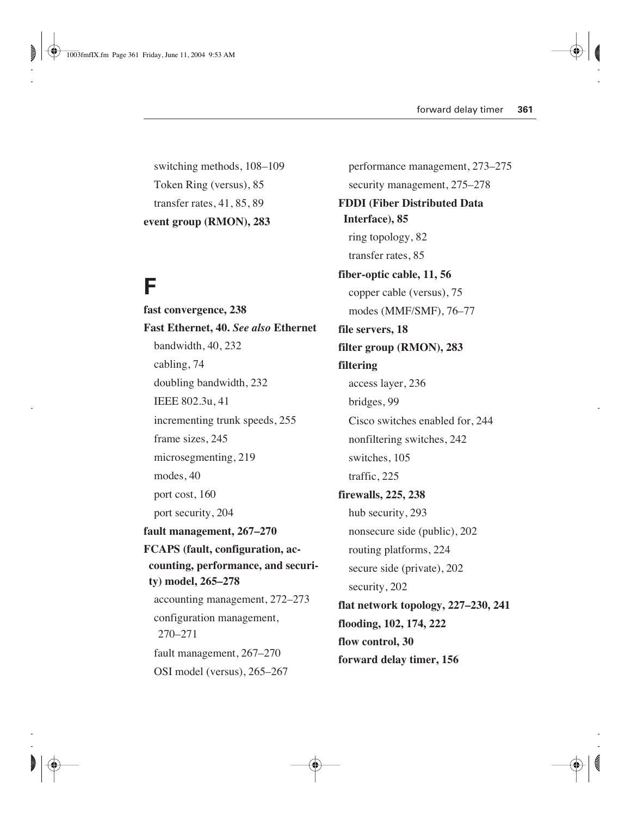switching methods, 108–109 Token Ring (versus), 85 transfer rates, 41, 85, 89 **event group (RMON), 283**

#### **F**

**fast convergence, 238 Fast Ethernet, 40.** *See also* **Ethernet**  bandwidth, 40, 232 cabling, 74 doubling bandwidth, 232 IEEE 802.3u, 41 incrementing trunk speeds, 255 frame sizes, 245 microsegmenting, 219 modes, 40 port cost, 160 port security, 204 **fault management, 267–270 FCAPS (fault, configuration, accounting, performance, and security) model, 265–278** accounting management, 272–273 configuration management, 270–271 fault management, 267–270 OSI model (versus), 265–267

performance management, 273–275 security management, 275–278 **FDDI (Fiber Distributed Data Interface), 85** ring topology, 82 transfer rates, 85 **fiber-optic cable, 11, 56** copper cable (versus), 75 modes (MMF/SMF), 76–77 **file servers, 18 filter group (RMON), 283 filtering** access layer, 236 bridges, 99 Cisco switches enabled for, 244 nonfiltering switches, 242 switches, 105 traffic, 225 **firewalls, 225, 238** hub security, 293 nonsecure side (public), 202 routing platforms, 224 secure side (private), 202 security, 202 **flat network topology, 227–230, 241 flooding, 102, 174, 222 flow control, 30 forward delay timer, 156**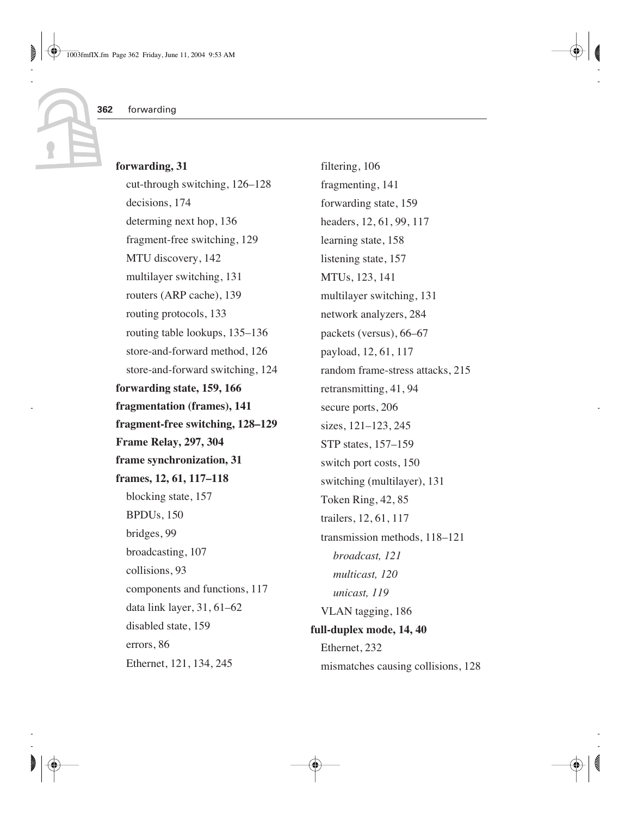#### **forwarding, 31**

cut-through switching, 126–128 decisions, 174 determing next hop, 136 fragment-free switching, 129 MTU discovery, 142 multilayer switching, 131 routers (ARP cache), 139 routing protocols, 133 routing table lookups, 135–136 store-and-forward method, 126 store-and-forward switching, 124 **forwarding state, 159, 166 fragmentation (frames), 141 fragment-free switching, 128–129 Frame Relay, 297, 304 frame synchronization, 31 frames, 12, 61, 117–118** blocking state, 157 BPDUs, 150 bridges, 99 broadcasting, 107 collisions, 93 components and functions, 117 data link layer, 31, 61–62 disabled state, 159 errors, 86 Ethernet, 121, 134, 245

filtering, 106 fragmenting, 141 forwarding state, 159 headers, 12, 61, 99, 117 learning state, 158 listening state, 157 MTUs, 123, 141 multilayer switching, 131 network analyzers, 284 packets (versus), 66–67 payload, 12, 61, 117 random frame-stress attacks, 215 retransmitting, 41, 94 secure ports, 206 sizes, 121–123, 245 STP states, 157–159 switch port costs, 150 switching (multilayer), 131 Token Ring, 42, 85 trailers, 12, 61, 117 transmission methods, 118–121 *broadcast, 121 multicast, 120 unicast, 119* VLAN tagging, 186 **full-duplex mode, 14, 40** Ethernet, 232 mismatches causing collisions, 128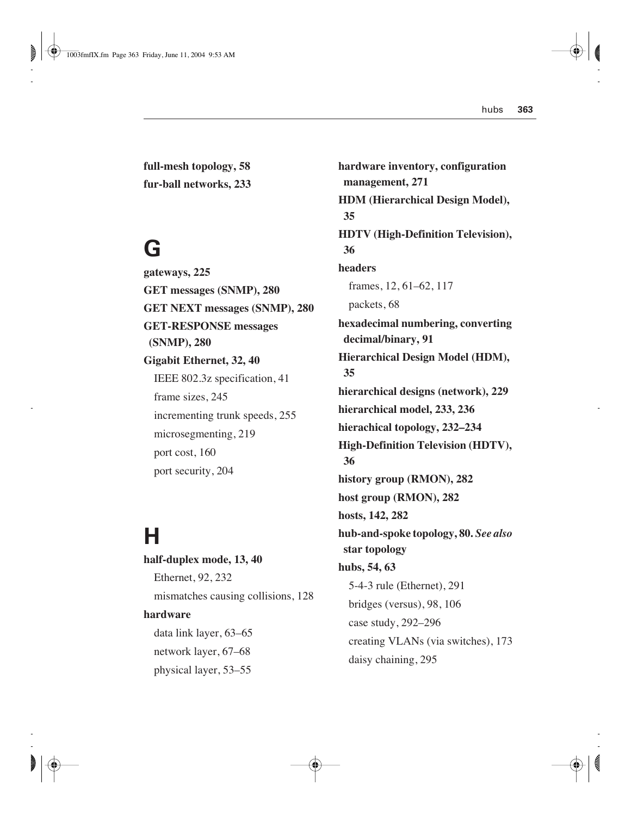**full-mesh topology, 58 fur-ball networks, 233**

#### **G**

**gateways, 225 GET messages (SNMP), 280 GET NEXT messages (SNMP), 280 GET-RESPONSE messages (SNMP), 280 Gigabit Ethernet, 32, 40** IEEE 802.3z specification, 41 frame sizes, 245 incrementing trunk speeds, 255 microsegmenting, 219 port cost, 160 port security, 204

## **H**

**half-duplex mode, 13, 40** Ethernet, 92, 232 mismatches causing collisions, 128 **hardware** data link layer, 63–65 network layer, 67–68 physical layer, 53–55

**hardware inventory, configuration management, 271 HDM (Hierarchical Design Model), 35 HDTV (High-Definition Television), 36 headers** frames, 12, 61–62, 117 packets, 68 **hexadecimal numbering, converting decimal/binary, 91 Hierarchical Design Model (HDM), 35 hierarchical designs (network), 229 hierarchical model, 233, 236 hierachical topology, 232–234 High-Definition Television (HDTV), 36 history group (RMON), 282 host group (RMON), 282 hosts, 142, 282 hub-and-spoke topology, 80.** *See also* **star topology hubs, 54, 63** 5-4-3 rule (Ethernet), 291 bridges (versus), 98, 106 case study, 292–296 creating VLANs (via switches), 173 daisy chaining, 295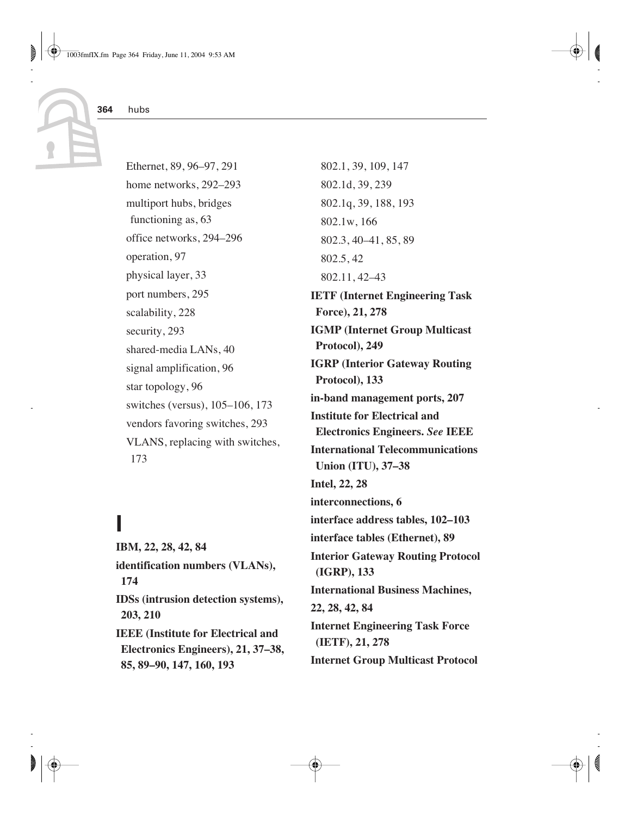Ethernet, 89, 96–97, 291 home networks, 292–293 multiport hubs, bridges functioning as, 63 office networks, 294–296 operation, 97 physical layer, 33 port numbers, 295 scalability, 228 security, 293 shared-media LANs, 40 signal amplification, 96 star topology, 96 switches (versus), 105–106, 173 vendors favoring switches, 293 VLANS, replacing with switches, 173

## **I**

**IBM, 22, 28, 42, 84 identification numbers (VLANs), 174 IDSs (intrusion detection systems), 203, 210 IEEE (Institute for Electrical and Electronics Engineers), 21, 37–38, 85, 89–90, 147, 160, 193**

802.1, 39, 109, 147 802.1d, 39, 239 802.1q, 39, 188, 193 802.1w, 166 802.3, 40–41, 85, 89 802.5, 42 802.11, 42–43 **IETF (Internet Engineering Task Force), 21, 278 IGMP (Internet Group Multicast Protocol), 249 IGRP (Interior Gateway Routing Protocol), 133 in-band management ports, 207 Institute for Electrical and Electronics Engineers.** *See* **IEEE International Telecommunications Union (ITU), 37–38 Intel, 22, 28 interconnections, 6 interface address tables, 102–103 interface tables (Ethernet), 89 Interior Gateway Routing Protocol (IGRP), 133 International Business Machines, 22, 28, 42, 84 Internet Engineering Task Force (IETF), 21, 278 Internet Group Multicast Protocol**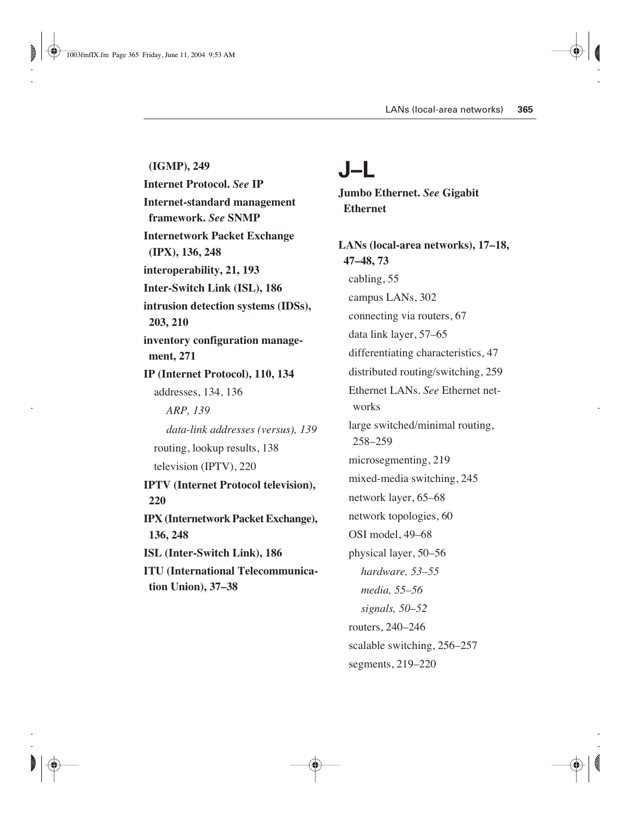**(IGMP), 249 Internet Protocol.** *See* **IP Internet-standard management framework.** *See* **SNMP Internetwork Packet Exchange (IPX), 136, 248 interoperability, 21, 193 Inter-Switch Link (ISL), 186 intrusion detection systems (IDSs), 203, 210 inventory configuration management, 271 IP (Internet Protocol), 110, 134** addresses, 134, 136 *ARP, 139 data-link addresses (versus), 139* routing, lookup results, 138 television (IPTV), 220 **IPTV (Internet Protocol television), 220 IPX (Internetwork Packet Exchange), 136, 248 ISL (Inter-Switch Link), 186 ITU (International Telecommunication Union), 37–38**

#### **J–L**

**Jumbo Ethernet.** *See* **Gigabit Ethernet**

**LANs (local-area networks), 17–18, 47–48, 73**  cabling, 55 campus LANs, 302 connecting via routers, 67 data link layer, 57–65 differentiating characteristics, 47 distributed routing/switching, 259 Ethernet LANs. *See* Ethernet networks large switched/minimal routing, 258–259 microsegmenting, 219 mixed-media switching, 245 network layer, 65–68 network topologies, 60 OSI model, 49–68 physical layer, 50–56 *hardware, 53–55 media, 55–56 signals, 50–52* routers, 240–246 scalable switching, 256–257 segments, 219–220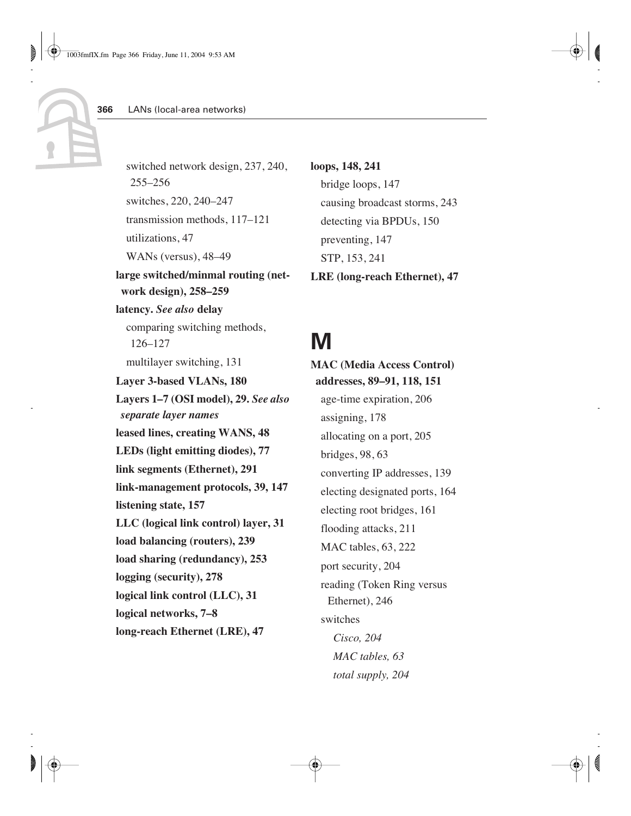switched network design, 237, 240, 255–256 switches, 220, 240–247 transmission methods, 117–121 utilizations, 47 WANs (versus), 48–49 **large switched/minmal routing (network design), 258–259 latency.** *See also* **delay** comparing switching methods, 126–127 multilayer switching, 131 **Layer 3-based VLANs, 180 Layers 1–7 (OSI model), 29.** *See also separate layer names* **leased lines, creating WANS, 48 LEDs (light emitting diodes), 77 link segments (Ethernet), 291 link-management protocols, 39, 147 listening state, 157 LLC (logical link control) layer, 31 load balancing (routers), 239 load sharing (redundancy), 253 logging (security), 278 logical link control (LLC), 31 logical networks, 7–8 long-reach Ethernet (LRE), 47**

**loops, 148, 241** bridge loops, 147 causing broadcast storms, 243 detecting via BPDUs, 150 preventing, 147 STP, 153, 241 **LRE (long-reach Ethernet), 47**

## **M**

**MAC (Media Access Control) addresses, 89–91, 118, 151** age-time expiration, 206 assigning, 178 allocating on a port, 205 bridges, 98, 63 converting IP addresses, 139 electing designated ports, 164 electing root bridges, 161 flooding attacks, 211 MAC tables, 63, 222 port security, 204 reading (Token Ring versus Ethernet), 246 switches *Cisco, 204 MAC tables, 63 total supply, 204*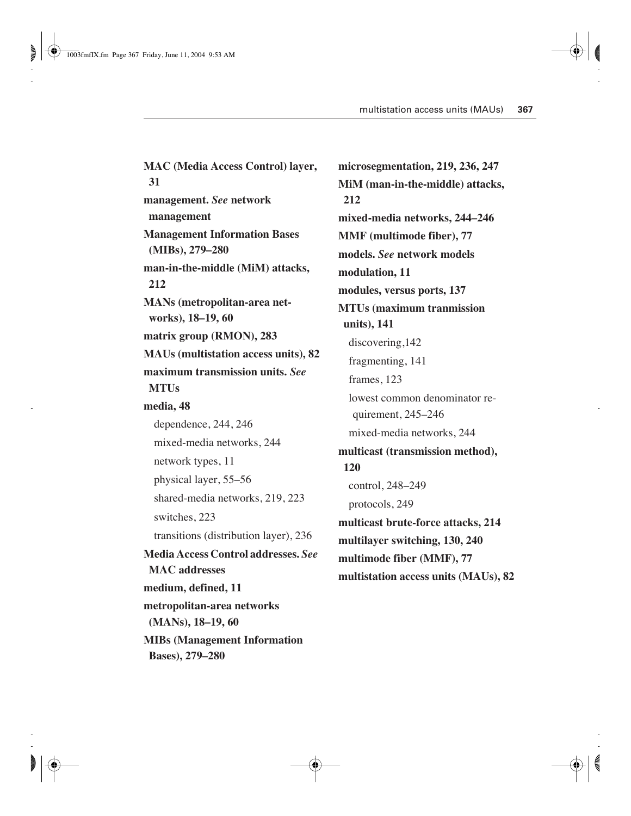**MAC (Media Access Control) layer, 31 management.** *See* **network management Management Information Bases (MIBs), 279–280 man-in-the-middle (MiM) attacks, 212 MANs (metropolitan-area networks), 18–19, 60 matrix group (RMON), 283 MAUs (multistation access units), 82 maximum transmission units.** *See* **MTUs media, 48** dependence, 244, 246 mixed-media networks, 244 network types, 11 physical layer, 55–56 shared-media networks, 219, 223 switches, 223 transitions (distribution layer), 236 **Media Access Control addresses.** *See* **MAC addresses medium, defined, 11 metropolitan-area networks (MANs), 18–19, 60 MIBs (Management Information Bases), 279–280**

**microsegmentation, 219, 236, 247 MiM (man-in-the-middle) attacks, 212 mixed-media networks, 244–246 MMF (multimode fiber), 77 models.** *See* **network models modulation, 11 modules, versus ports, 137 MTUs (maximum tranmission units), 141** discovering,142 fragmenting, 141 frames, 123 lowest common denominator requirement, 245–246 mixed-media networks, 244 **multicast (transmission method), 120** control, 248–249 protocols, 249 **multicast brute-force attacks, 214 multilayer switching, 130, 240 multimode fiber (MMF), 77 multistation access units (MAUs), 82**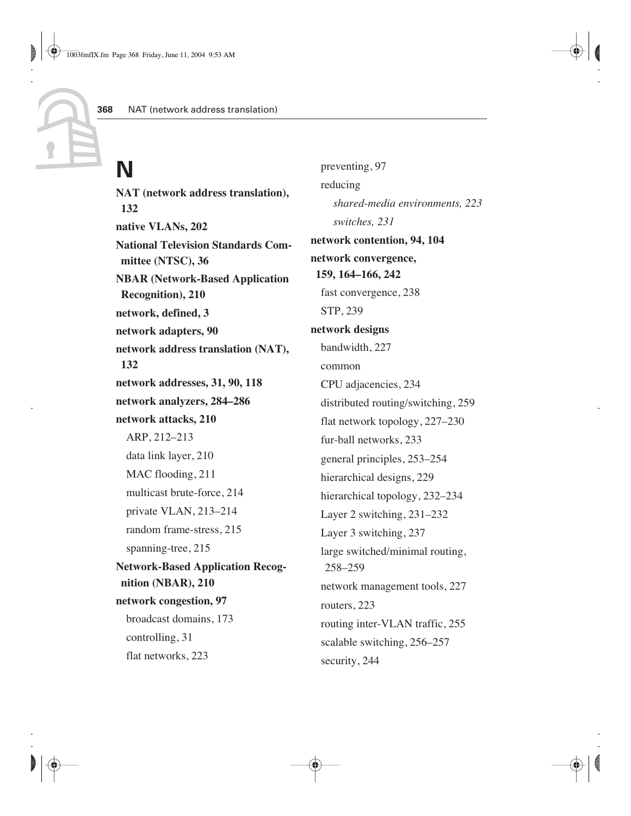# **N**

**NAT (network address translation), 132 native VLANs, 202 National Television Standards Committee (NTSC), 36 NBAR (Network-Based Application Recognition), 210 network, defined, 3 network adapters, 90 network address translation (NAT), 132 network addresses, 31, 90, 118 network analyzers, 284–286 network attacks, 210** ARP, 212–213 data link layer, 210 MAC flooding, 211 multicast brute-force, 214 private VLAN, 213–214 random frame-stress, 215 spanning-tree, 215 **Network-Based Application Recognition (NBAR), 210 network congestion, 97** broadcast domains, 173 controlling, 31 flat networks, 223

preventing, 97 reducing *shared-media environments, 223 switches, 231* **network contention, 94, 104 network convergence, 159, 164–166, 242** fast convergence, 238 STP, 239 **network designs** bandwidth, 227 common CPU adjacencies, 234 distributed routing/switching, 259 flat network topology, 227–230 fur-ball networks, 233 general principles, 253–254 hierarchical designs, 229 hierarchical topology, 232–234 Layer 2 switching, 231–232 Layer 3 switching, 237 large switched/minimal routing, 258–259 network management tools, 227 routers, 223 routing inter-VLAN traffic, 255 scalable switching, 256–257 security, 244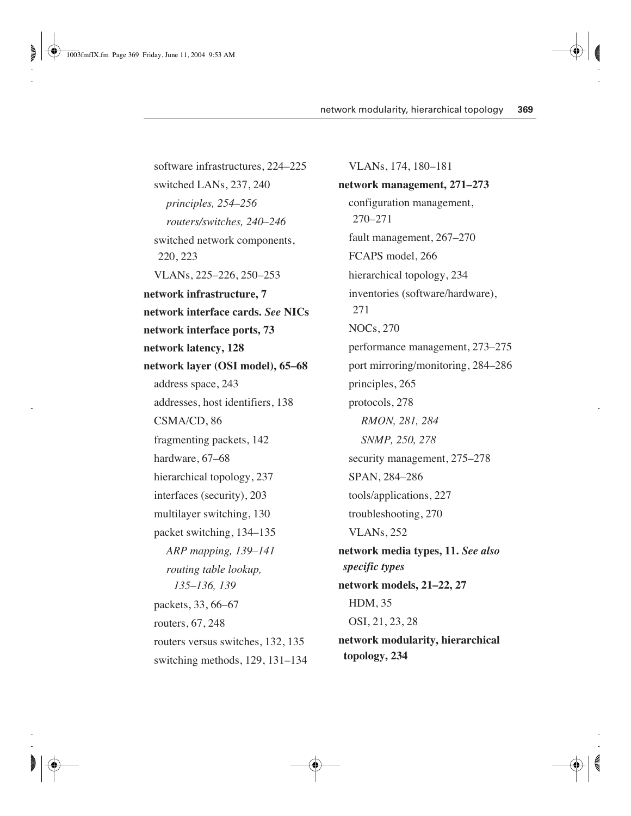software infrastructures, 224–225 switched LANs, 237, 240 *principles, 254–256 routers/switches, 240–246* switched network components, 220, 223 VLANs, 225–226, 250–253 **network infrastructure, 7 network interface cards.** *See* **NICs network interface ports, 73 network latency, 128 network layer (OSI model), 65–68** address space, 243 addresses, host identifiers, 138 CSMA/CD, 86 fragmenting packets, 142 hardware, 67–68 hierarchical topology, 237 interfaces (security), 203 multilayer switching, 130 packet switching, 134–135 *ARP mapping, 139–141 routing table lookup, 135–136, 139* packets, 33, 66–67 routers, 67, 248 routers versus switches, 132, 135 switching methods, 129, 131–134

VLANs, 174, 180–181 **network management, 271–273** configuration management, 270–271 fault management, 267–270 FCAPS model, 266 hierarchical topology, 234 inventories (software/hardware), 271 NOCs, 270 performance management, 273–275 port mirroring/monitoring, 284–286 principles, 265 protocols, 278 *RMON, 281, 284 SNMP, 250, 278* security management, 275–278 SPAN, 284–286 tools/applications, 227 troubleshooting, 270 VLANs, 252 **network media types, 11.** *See also specific types* **network models, 21–22, 27** HDM, 35 OSI, 21, 23, 28 **network modularity, hierarchical topology, 234**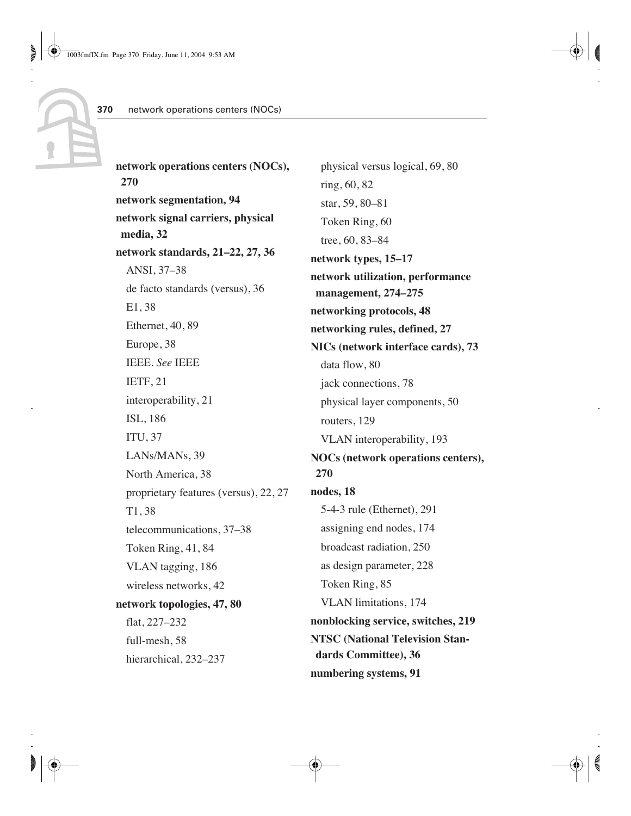**network operations centers (NOCs), 270 network segmentation, 94 network signal carriers, physical media, 32 network standards, 21–22, 27, 36** ANSI, 37–38 de facto standards (versus), 36 E1, 38 Ethernet, 40, 89 Europe, 38 IEEE. *See* IEEE IETF, 21 interoperability, 21 ISL, 186 ITU, 37 LANs/MANs, 39 North America, 38 proprietary features (versus), 22, 27 T1, 38 telecommunications, 37–38 Token Ring, 41, 84 VLAN tagging, 186 wireless networks, 42 **network topologies, 47, 80** flat, 227–232 full-mesh, 58 hierarchical, 232–237

physical versus logical, 69, 80 ring, 60, 82 star, 59, 80–81 Token Ring, 60 tree, 60, 83–84 **network types, 15–17 network utilization, performance management, 274–275 networking protocols, 48 networking rules, defined, 27 NICs (network interface cards), 73** data flow, 80 jack connections, 78 physical layer components, 50 routers, 129 VLAN interoperability, 193 **NOCs (network operations centers), 270 nodes, 18** 5-4-3 rule (Ethernet), 291 assigning end nodes, 174 broadcast radiation, 250 as design parameter, 228 Token Ring, 85 VLAN limitations, 174 **nonblocking service, switches, 219 NTSC (National Television Standards Committee), 36 numbering systems, 91**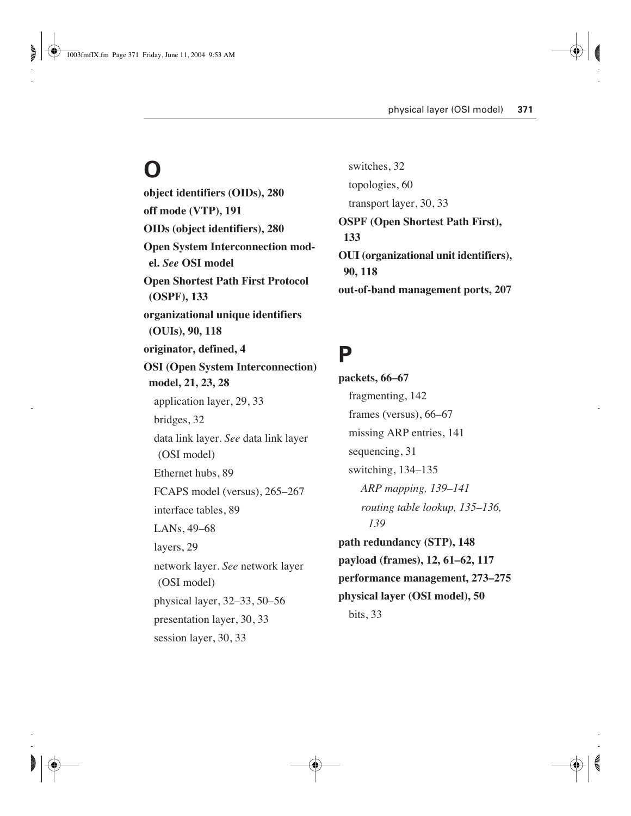# **O**

**object identifiers (OIDs), 280 off mode (VTP), 191 OIDs (object identifiers), 280 Open System Interconnection model.** *See* **OSI model Open Shortest Path First Protocol (OSPF), 133 organizational unique identifiers (OUIs), 90, 118 originator, defined, 4 OSI (Open System Interconnection) model, 21, 23, 28** application layer, 29, 33 bridges, 32 data link layer. *See* data link layer (OSI model) Ethernet hubs, 89 FCAPS model (versus), 265–267 interface tables, 89 LANs, 49–68 layers, 29 network layer. *See* network layer (OSI model) physical layer, 32–33, 50–56 presentation layer, 30, 33 session layer, 30, 33

switches, 32 topologies, 60 transport layer, 30, 33 **OSPF (Open Shortest Path First), 133 OUI (organizational unit identifiers), 90, 118 out-of-band management ports, 207**

#### **P**

**packets, 66–67** fragmenting, 142 frames (versus), 66–67 missing ARP entries, 141 sequencing, 31 switching, 134–135 *ARP mapping, 139–141 routing table lookup, 135–136, 139* **path redundancy (STP), 148 payload (frames), 12, 61–62, 117 performance management, 273–275 physical layer (OSI model), 50** bits, 33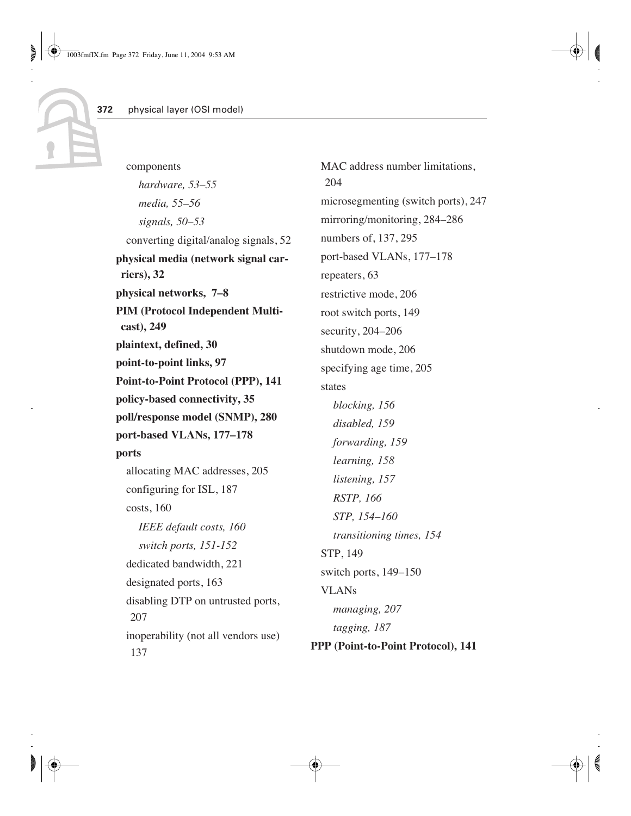components *hardware, 53–55 media, 55–56 signals, 50–53* converting digital/analog signals, 52 **physical media (network signal carriers), 32 physical networks, 7–8 PIM (Protocol Independent Multicast), 249 plaintext, defined, 30 point-to-point links, 97 Point-to-Point Protocol (PPP), 141 policy-based connectivity, 35 poll/response model (SNMP), 280 port-based VLANs, 177–178 ports** allocating MAC addresses, 205 configuring for ISL, 187 costs, 160 *IEEE default costs, 160 switch ports, 151-152* dedicated bandwidth, 221 designated ports, 163 disabling DTP on untrusted ports, 207 inoperability (not all vendors use) 137

MAC address number limitations. 204 microsegmenting (switch ports), 247 mirroring/monitoring, 284–286 numbers of, 137, 295 port-based VLANs, 177–178 repeaters, 63 restrictive mode, 206 root switch ports, 149 security, 204–206 shutdown mode, 206 specifying age time, 205 states *blocking, 156 disabled, 159 forwarding, 159 learning, 158 listening, 157 RSTP, 166 STP, 154–160 transitioning times, 154* STP, 149 switch ports, 149–150 VLANs *managing, 207 tagging, 187* **PPP (Point-to-Point Protocol), 141**

**372**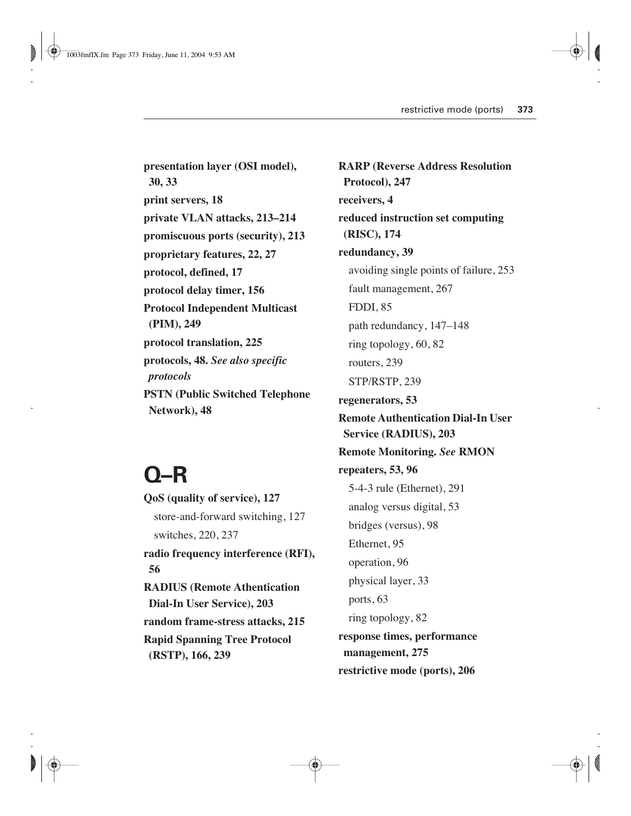**presentation layer (OSI model), 30, 33 print servers, 18 private VLAN attacks, 213–214 promiscuous ports (security), 213 proprietary features, 22, 27 protocol, defined, 17 protocol delay timer, 156 Protocol Independent Multicast (PIM), 249 protocol translation, 225 protocols, 48.** *See also specific protocols* **PSTN (Public Switched Telephone Network), 48**

## **Q–R**

**QoS (quality of service), 127** store-and-forward switching, 127 switches, 220, 237 **radio frequency interference (RFI), 56 RADIUS (Remote Athentication Dial-In User Service), 203 random frame-stress attacks, 215 Rapid Spanning Tree Protocol (RSTP), 166, 239**

**RARP (Reverse Address Resolution Protocol), 247 receivers, 4 reduced instruction set computing (RISC), 174 redundancy, 39** avoiding single points of failure, 253 fault management, 267 FDDI, 85 path redundancy, 147–148 ring topology, 60, 82 routers, 239 STP/RSTP, 239 **regenerators, 53 Remote Authentication Dial-In User Service (RADIUS), 203 Remote Monitoring.** *See* **RMON repeaters, 53, 96** 5-4-3 rule (Ethernet), 291 analog versus digital, 53 bridges (versus), 98 Ethernet, 95 operation, 96 physical layer, 33 ports, 63 ring topology, 82 **response times, performance management, 275 restrictive mode (ports), 206**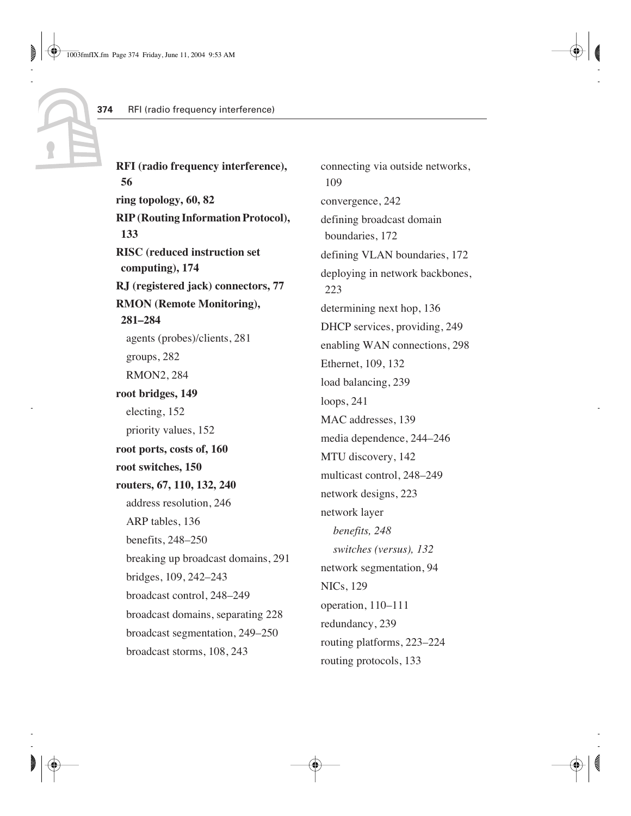**RFI (radio frequency interference), 56 ring topology, 60, 82 RIP (Routing Information Protocol), 133 RISC (reduced instruction set computing), 174 RJ (registered jack) connectors, 77 RMON (Remote Monitoring), 281–284** agents (probes)/clients, 281 groups, 282 RMON2, 284 **root bridges, 149** electing, 152 priority values, 152 **root ports, costs of, 160 root switches, 150 routers, 67, 110, 132, 240** address resolution, 246 ARP tables, 136 benefits, 248–250 breaking up broadcast domains, 291 bridges, 109, 242–243 broadcast control, 248–249 broadcast domains, separating 228 broadcast segmentation, 249–250 broadcast storms, 108, 243

connecting via outside networks, 109 convergence, 242 defining broadcast domain boundaries, 172 defining VLAN boundaries, 172 deploying in network backbones, 223 determining next hop, 136 DHCP services, providing, 249 enabling WAN connections, 298 Ethernet, 109, 132 load balancing, 239 loops, 241 MAC addresses, 139 media dependence, 244–246 MTU discovery, 142 multicast control, 248–249 network designs, 223 network layer *benefits, 248 switches (versus), 132* network segmentation, 94 NICs, 129 operation, 110–111 redundancy, 239 routing platforms, 223–224 routing protocols, 133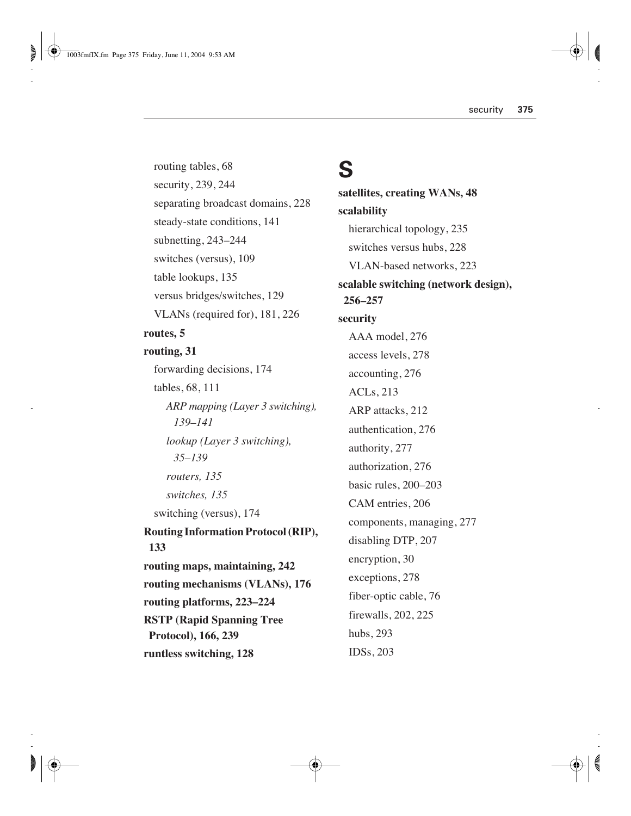routing tables, 68 security, 239, 244 separating broadcast domains, 228 steady-state conditions, 141 subnetting, 243–244 switches (versus), 109 table lookups, 135 versus bridges/switches, 129 VLANs (required for), 181, 226 **routes, 5 routing, 31** forwarding decisions, 174 tables, 68, 111 *ARP mapping (Layer 3 switching), 139–141 lookup (Layer 3 switching), 35–139 routers, 135 switches, 135* switching (versus), 174 **Routing Information Protocol (RIP), 133 routing maps, maintaining, 242 routing mechanisms (VLANs), 176 routing platforms, 223–224 RSTP (Rapid Spanning Tree Protocol), 166, 239 runtless switching, 128**

#### **S**

**satellites, creating WANs, 48 scalability** hierarchical topology, 235 switches versus hubs, 228 VLAN-based networks, 223 **scalable switching (network design), 256–257 security** AAA model, 276 access levels, 278 accounting, 276 ACLs, 213 ARP attacks, 212 authentication, 276 authority, 277 authorization, 276 basic rules, 200–203 CAM entries, 206 components, managing, 277 disabling DTP, 207 encryption, 30 exceptions, 278 fiber-optic cable, 76 firewalls, 202, 225 hubs, 293 IDSs, 203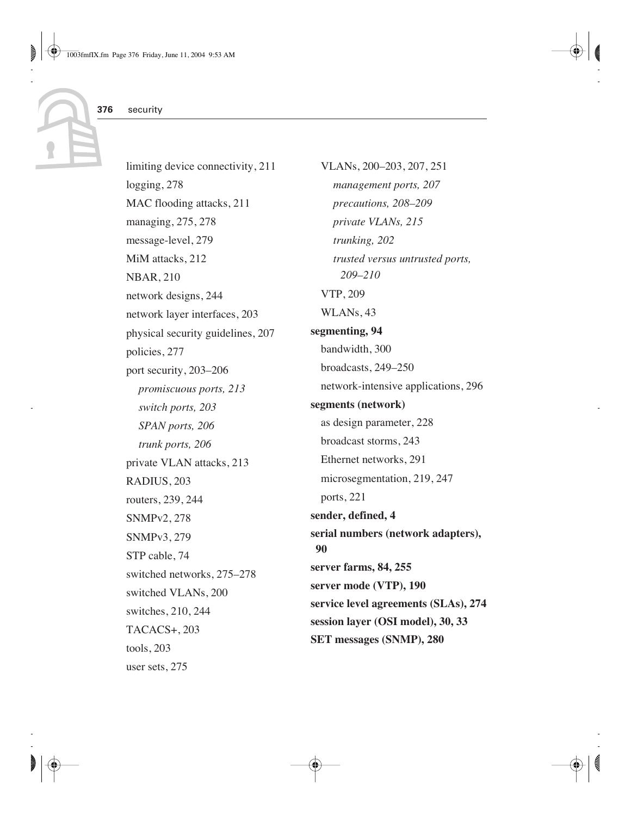limiting device connectivity, 211 logging, 278 MAC flooding attacks, 211 managing, 275, 278 message-level, 279 MiM attacks, 212 NBAR, 210 network designs, 244 network layer interfaces, 203 physical security guidelines, 207 policies, 277 port security, 203–206 *promiscuous ports, 213 switch ports, 203 SPAN ports, 206 trunk ports, 206* private VLAN attacks, 213 RADIUS, 203 routers, 239, 244 SNMPv2, 278 SNMPv3, 279 STP cable, 74 switched networks, 275–278 switched VLANs, 200 switches, 210, 244 TACACS+, 203 tools, 203 user sets, 275

VLANs, 200–203, 207, 251 *management ports, 207 precautions, 208–209 private VLANs, 215 trunking, 202 trusted versus untrusted ports, 209–210* VTP, 209 WLANs, 43 **segmenting, 94** bandwidth, 300 broadcasts, 249–250 network-intensive applications, 296 **segments (network)** as design parameter, 228 broadcast storms, 243 Ethernet networks, 291 microsegmentation, 219, 247 ports, 221 **sender, defined, 4 serial numbers (network adapters), 90 server farms, 84, 255 server mode (VTP), 190 service level agreements (SLAs), 274 session layer (OSI model), 30, 33 SET messages (SNMP), 280**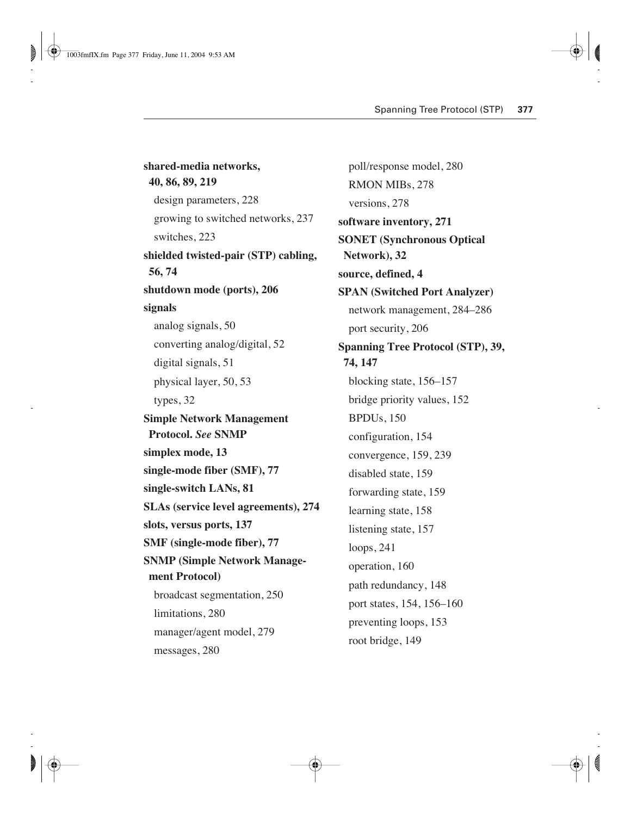**shared-media networks, 40, 86, 89, 219** design parameters, 228 growing to switched networks, 237 switches, 223 **shielded twisted-pair (STP) cabling, 56, 74 shutdown mode (ports), 206 signals** analog signals, 50 converting analog/digital, 52 digital signals, 51 physical layer, 50, 53 types, 32 **Simple Network Management Protocol.** *See* **SNMP simplex mode, 13 single-mode fiber (SMF), 77 single-switch LANs, 81 SLAs (service level agreements), 274 slots, versus ports, 137 SMF (single-mode fiber), 77 SNMP (Simple Network Management Protocol)** broadcast segmentation, 250 limitations, 280 manager/agent model, 279 messages, 280

poll/response model, 280 RMON MIBs, 278 versions, 278 **software inventory, 271 SONET (Synchronous Optical Network), 32 source, defined, 4 SPAN (Switched Port Analyzer)** network management, 284–286 port security, 206 **Spanning Tree Protocol (STP), 39, 74, 147** blocking state, 156–157 bridge priority values, 152 BPDUs, 150 configuration, 154 convergence, 159, 239 disabled state, 159 forwarding state, 159 learning state, 158 listening state, 157 loops, 241 operation, 160 path redundancy, 148 port states, 154, 156–160 preventing loops, 153 root bridge, 149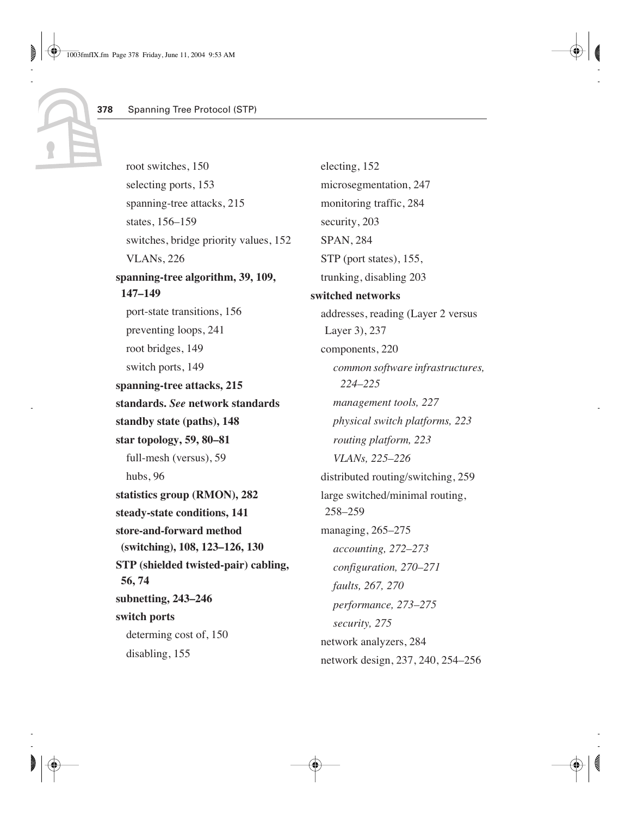root switches, 150 selecting ports, 153 spanning-tree attacks, 215 states, 156–159 switches, bridge priority values, 152 VLANs, 226 **spanning-tree algorithm, 39, 109, 147–149** port-state transitions, 156 preventing loops, 241 root bridges, 149 switch ports, 149 **spanning-tree attacks, 215 standards.** *See* **network standards standby state (paths), 148 star topology, 59, 80–81** full-mesh (versus), 59 hubs, 96 **statistics group (RMON), 282 steady-state conditions, 141 store-and-forward method (switching), 108, 123–126, 130 STP (shielded twisted-pair) cabling, 56, 74 subnetting, 243–246 switch ports** determing cost of, 150 disabling, 155

electing, 152 microsegmentation, 247 monitoring traffic, 284 security, 203 SPAN, 284 STP (port states), 155, trunking, disabling 203 **switched networks** addresses, reading (Layer 2 versus Layer 3), 237 components, 220 *common software infrastructures, 224–225 management tools, 227 physical switch platforms, 223 routing platform, 223 VLANs, 225–226* distributed routing/switching, 259 large switched/minimal routing, 258–259 managing, 265–275 *accounting, 272–273 configuration, 270–271 faults, 267, 270 performance, 273–275 security, 275* network analyzers, 284 network design, 237, 240, 254–256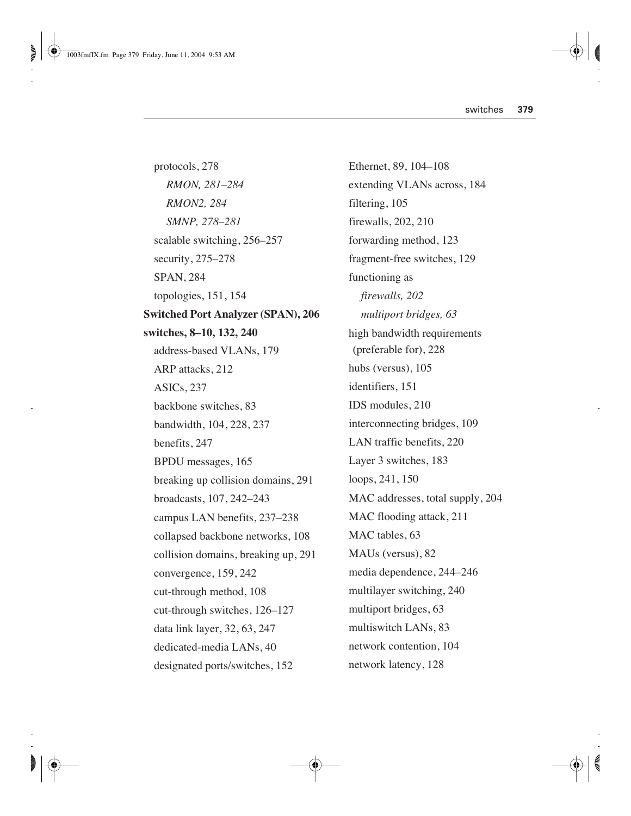protocols, 278 *RMON, 281–284 RMON2, 284 SMNP, 278–281* scalable switching, 256–257 security, 275–278 SPAN, 284 topologies, 151, 154 **Switched Port Analyzer (SPAN), 206 switches, 8–10, 132, 240** address-based VLANs, 179 ARP attacks, 212 ASICs, 237 backbone switches, 83 bandwidth, 104, 228, 237 benefits, 247 BPDU messages, 165 breaking up collision domains, 291 broadcasts, 107, 242–243 campus LAN benefits, 237–238 collapsed backbone networks, 108 collision domains, breaking up, 291 convergence, 159, 242 cut-through method, 108 cut-through switches, 126–127 data link layer, 32, 63, 247 dedicated-media LANs, 40 designated ports/switches, 152

Ethernet, 89, 104–108 extending VLANs across, 184 filtering, 105 firewalls, 202, 210 forwarding method, 123 fragment-free switches, 129 functioning as *firewalls, 202 multiport bridges, 63* high bandwidth requirements (preferable for), 228 hubs (versus), 105 identifiers, 151 IDS modules, 210 interconnecting bridges, 109 LAN traffic benefits, 220 Layer 3 switches, 183 loops, 241, 150 MAC addresses, total supply, 204 MAC flooding attack, 211 MAC tables, 63 MAUs (versus), 82 media dependence, 244–246 multilayer switching, 240 multiport bridges, 63 multiswitch LANs, 83 network contention, 104 network latency, 128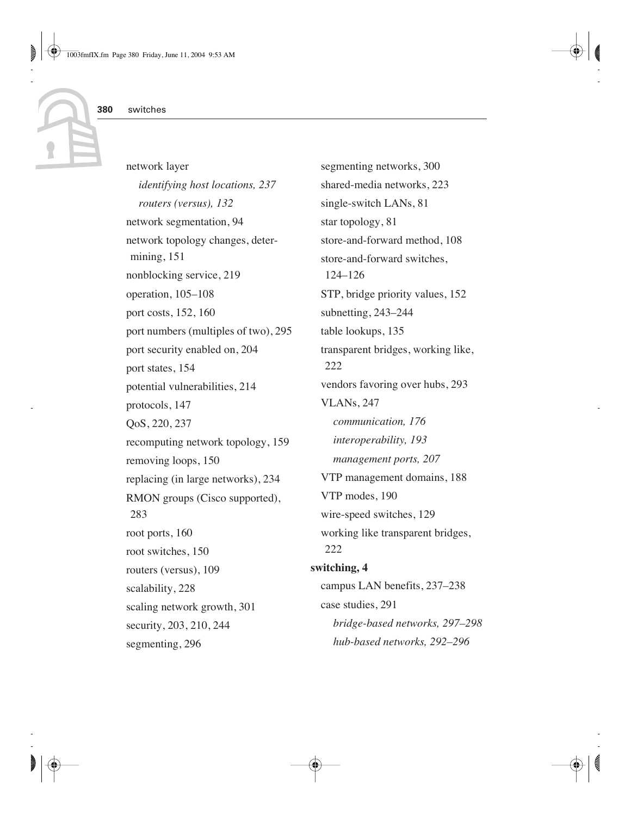network layer *identifying host locations, 237 routers (versus), 132* network segmentation, 94 network topology changes, determining, 151 nonblocking service, 219 operation, 105–108 port costs, 152, 160 port numbers (multiples of two), 295 port security enabled on, 204 port states, 154 potential vulnerabilities, 214 protocols, 147 QoS, 220, 237 recomputing network topology, 159 removing loops, 150 replacing (in large networks), 234 RMON groups (Cisco supported), 283 root ports, 160 root switches, 150 routers (versus), 109 scalability, 228 scaling network growth, 301 security, 203, 210, 244 segmenting, 296

segmenting networks, 300 shared-media networks, 223 single-switch LANs, 81 star topology, 81 store-and-forward method, 108 store-and-forward switches, 124–126 STP, bridge priority values, 152 subnetting, 243–244 table lookups, 135 transparent bridges, working like, 222 vendors favoring over hubs, 293 VLANs, 247 *communication, 176 interoperability, 193 management ports, 207* VTP management domains, 188 VTP modes, 190 wire-speed switches, 129 working like transparent bridges, 222 **switching, 4** campus LAN benefits, 237–238 case studies, 291 *bridge-based networks, 297–298 hub-based networks, 292–296*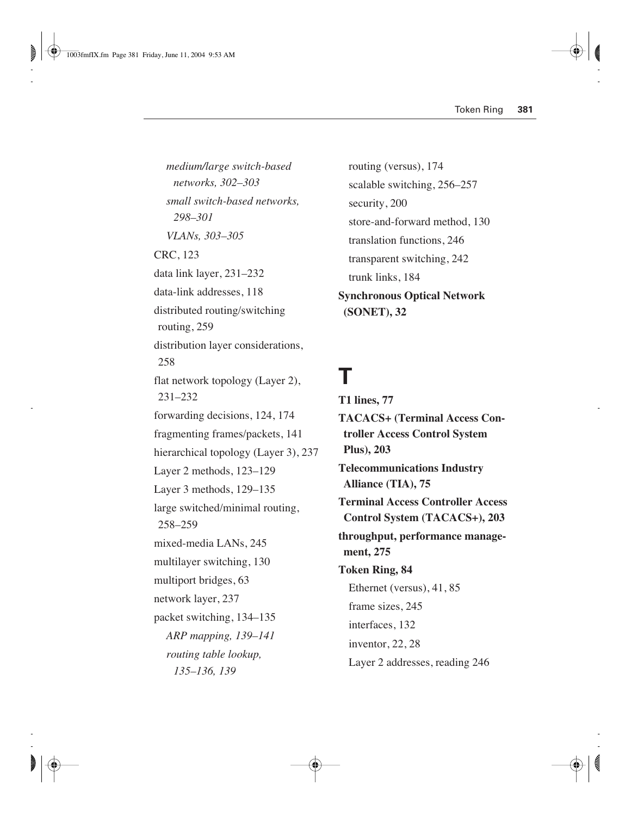*medium/large switch-based networks, 302–303 small switch-based networks, 298–301 VLANs, 303–305* CRC, 123 data link layer, 231–232 data-link addresses, 118 distributed routing/switching routing, 259 distribution layer considerations, 258 flat network topology (Layer 2), 231–232 forwarding decisions, 124, 174 fragmenting frames/packets, 141 hierarchical topology (Layer 3), 237 Layer 2 methods, 123–129 Layer 3 methods, 129–135 large switched/minimal routing, 258–259 mixed-media LANs, 245 multilayer switching, 130 multiport bridges, 63 network layer, 237 packet switching, 134–135 *ARP mapping, 139–141 routing table lookup, 135–136, 139*

routing (versus), 174 scalable switching, 256–257 security, 200 store-and-forward method, 130 translation functions, 246 transparent switching, 242 trunk links, 184 **Synchronous Optical Network (SONET), 32**

## **T**

**T1 lines, 77 TACACS+ (Terminal Access Controller Access Control System Plus), 203 Telecommunications Industry Alliance (TIA), 75 Terminal Access Controller Access Control System (TACACS+), 203 throughput, performance management, 275 Token Ring, 84** Ethernet (versus), 41, 85 frame sizes, 245 interfaces, 132 inventor, 22, 28 Layer 2 addresses, reading 246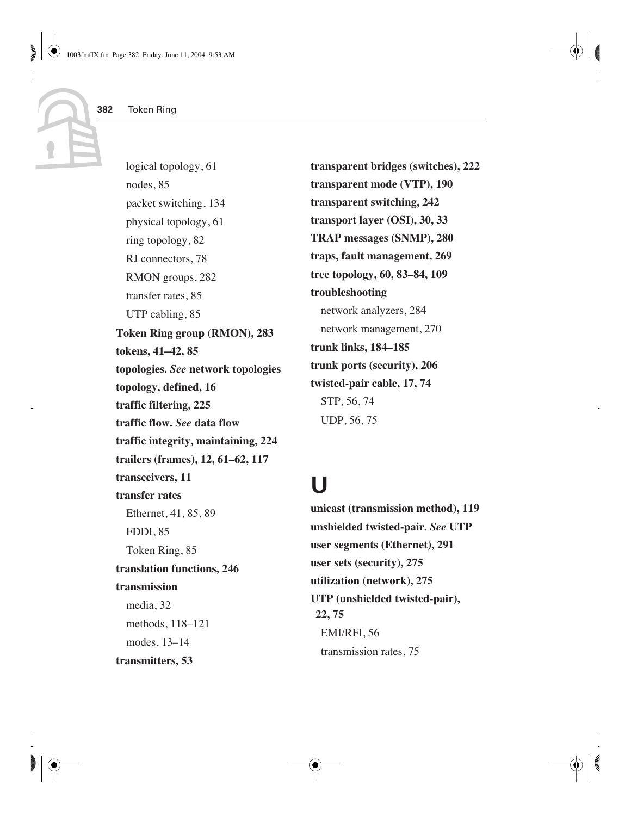logical topology, 61 nodes, 85 packet switching, 134 physical topology, 61 ring topology, 82 RJ connectors, 78 RMON groups, 282 transfer rates, 85 UTP cabling, 85 **Token Ring group (RMON), 283 tokens, 41–42, 85 topologies.** *See* **network topologies topology, defined, 16 traffic filtering, 225 traffic flow.** *See* **data flow traffic integrity, maintaining, 224 trailers (frames), 12, 61–62, 117 transceivers, 11 transfer rates** Ethernet, 41, 85, 89 FDDI, 85 Token Ring, 85 **translation functions, 246 transmission** media, 32 methods, 118–121 modes, 13–14 **transmitters, 53**

**transparent bridges (switches), 222 transparent mode (VTP), 190 transparent switching, 242 transport layer (OSI), 30, 33 TRAP messages (SNMP), 280 traps, fault management, 269 tree topology, 60, 83–84, 109 troubleshooting** network analyzers, 284 network management, 270 **trunk links, 184–185 trunk ports (security), 206 twisted-pair cable, 17, 74** STP, 56, 74 UDP, 56, 75

#### **U**

**unicast (transmission method), 119 unshielded twisted-pair.** *See* **UTP user segments (Ethernet), 291 user sets (security), 275 utilization (network), 275 UTP (unshielded twisted-pair), 22, 75** EMI/RFI, 56 transmission rates, 75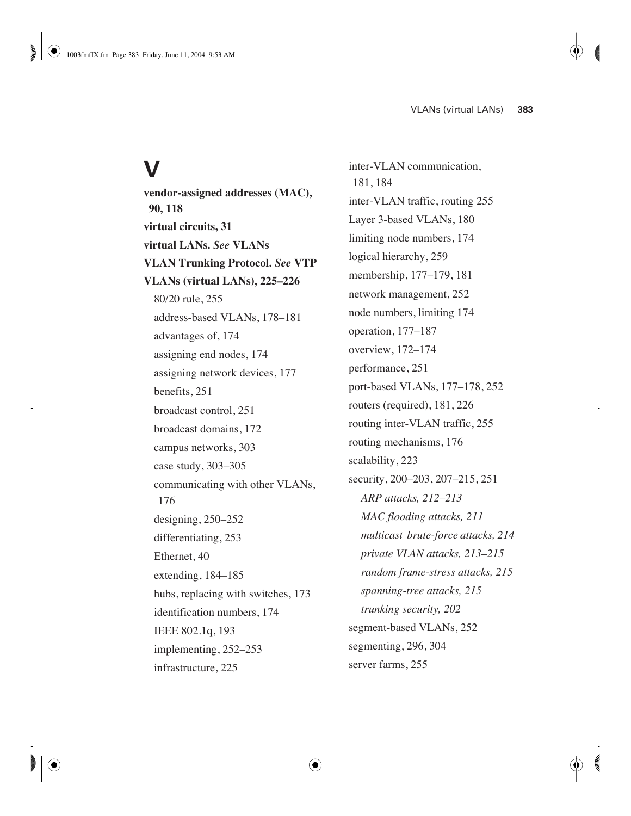## **V**

**vendor-assigned addresses (MAC), 90, 118 virtual circuits, 31 virtual LANs.** *See* **VLANs VLAN Trunking Protocol.** *See* **VTP VLANs (virtual LANs), 225–226** 80/20 rule, 255 address-based VLANs, 178–181 advantages of, 174 assigning end nodes, 174 assigning network devices, 177 benefits, 251 broadcast control, 251 broadcast domains, 172 campus networks, 303 case study, 303–305 communicating with other VLANs, 176 designing, 250–252 differentiating, 253 Ethernet, 40 extending, 184–185 hubs, replacing with switches, 173 identification numbers, 174 IEEE 802.1q, 193 implementing, 252–253 infrastructure, 225

inter-VLAN communication, 181, 184 inter-VLAN traffic, routing 255 Layer 3-based VLANs, 180 limiting node numbers, 174 logical hierarchy, 259 membership, 177–179, 181 network management, 252 node numbers, limiting 174 operation, 177–187 overview, 172–174 performance, 251 port-based VLANs, 177–178, 252 routers (required), 181, 226 routing inter-VLAN traffic, 255 routing mechanisms, 176 scalability, 223 security, 200–203, 207–215, 251 *ARP attacks, 212–213 MAC flooding attacks, 211 multicast brute-force attacks, 214 private VLAN attacks, 213–215 random frame-stress attacks, 215 spanning-tree attacks, 215 trunking security, 202* segment-based VLANs, 252 segmenting, 296, 304 server farms, 255